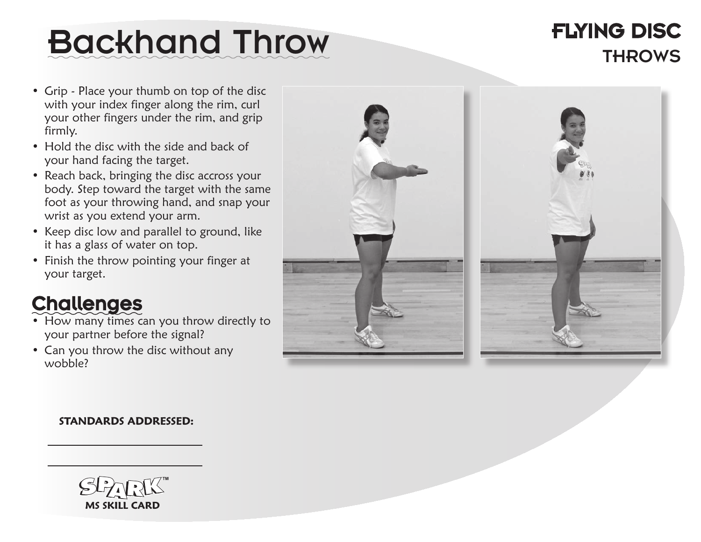## Backhand Throw THROWS

# Flying disC

- Grip Place your thumb on top of the disc with your index finger along the rim, curl your other fingers under the rim, and grip firmly.
- Hold the disc with the side and back of your hand facing the target.
- Reach back, bringing the disc accross your body. Step toward the target with the same foot as your throwing hand, and snap your wrist as you extend your arm.
- Keep disc low and parallel to ground, like it has a glass of water on top.
- Finish the throw pointing your finger at your target.

## **Challenges**

- How many times can you throw directly to your partner before the signal?
- Can you throw the disc without any wobble?





#### **STANDARDS ADDRESSED:**

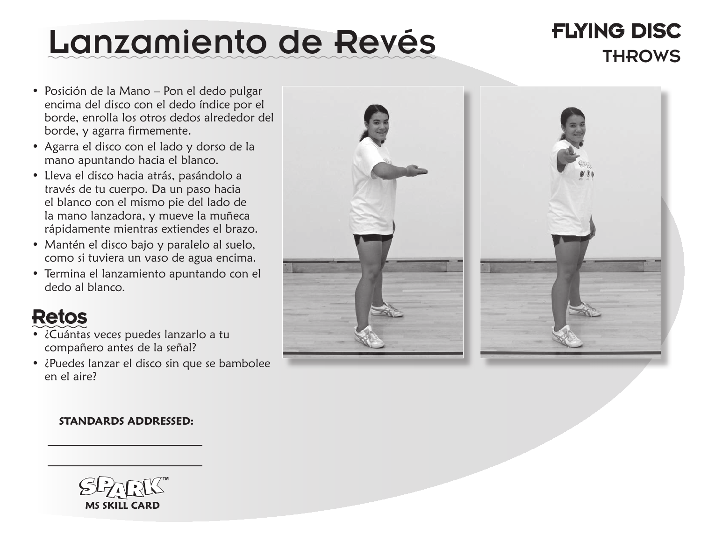## Lanzamiento de Revés THTING DISC

# Flying disC

- Posición de la Mano Pon el dedo pulgar encima del disco con el dedo índice por el borde, enrolla los otros dedos alrededor del borde, y agarra firmemente.
- • Agarra el disco con el lado y dorso de la mano apuntando hacia el blanco.
- Lleva el disco hacia atrás, pasándolo a través de tu cuerpo. Da un paso hacia el blanco con el mismo pie del lado de la mano lanzadora, y mueve la muñeca rápidamente mientras extiendes el brazo.
- Mantén el disco bajo y paralelo al suelo, como si tuviera un vaso de agua encima.
- Termina el lanzamiento apuntando con el dedo al blanco.

## Retos

- ¿Cuántas veces puedes lanzarlo a tu compañero antes de la señal?
- ¿Puedes lanzar el disco sin que se bambolee en el aire?





#### **STANDARDS ADDRESSED:**

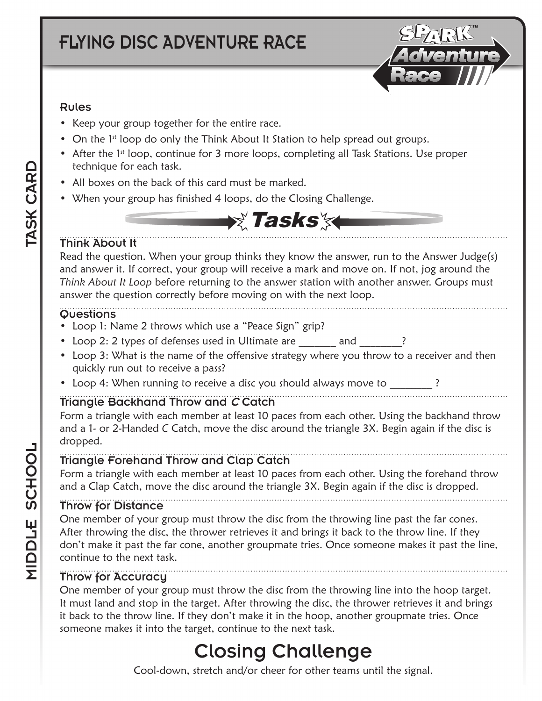### FLYING DISC Adventure Race



#### Rules

- Keep your group together for the entire race.
- On the 1<sup>st</sup> loop do only the Think About It Station to help spread out groups.
- After the 1<sup>st</sup> loop, continue for 3 more loops, completing all Task Stations. Use proper technique for each task.
- All boxes on the back of this card must be marked.
- When your group has finished 4 loops, do the Closing Challenge.



#### Think About It

Read the question. When your group thinks they know the answer, run to the Answer Judge(s) and answer it. If correct, your group will receive a mark and move on. If not, jog around the *Think About It Loop* before returning to the answer station with another answer. Groups must answer the question correctly before moving on with the next loop.

#### **Questions**

- Loop 1: Name 2 throws which use a "Peace Sign" grip?
- Loop 2: 2 types of defenses used in Ultimate are election and the Ref of the Ref and
- Loop 3: What is the name of the offensive strategy where you throw to a receiver and then quickly run out to receive a pass?
- Loop 4: When running to receive a disc you should always move to

#### Triangle Backhand Throw and C Catch

Form a triangle with each member at least 10 paces from each other. Using the backhand throw and a 1- or 2-Handed *C* Catch, move the disc around the triangle 3X. Begin again if the disc is dropped.

#### Triangle Forehand Throw and Clap Catch

Form a triangle with each member at least 10 paces from each other. Using the forehand throw and a Clap Catch, move the disc around the triangle 3X. Begin again if the disc is dropped.

#### Throw for Distance

One member of your group must throw the disc from the throwing line past the far cones. After throwing the disc, the thrower retrieves it and brings it back to the throw line. If they don't make it past the far cone, another groupmate tries. Once someone makes it past the line, continue to the next task.

#### Throw for Accuracy

One member of your group must throw the disc from the throwing line into the hoop target. It must land and stop in the target. After throwing the disc, the thrower retrieves it and brings it back to the throw line. If they don't make it in the hoop, another groupmate tries. Once someone makes it into the target, continue to the next task.

## Closing Challenge

Cool-down, stretch and/or cheer for other teams until the signal.